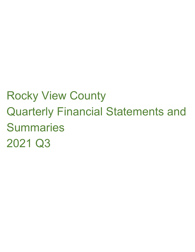# Rocky View County Quarterly Financial Statements and **Summaries** 2021 Q3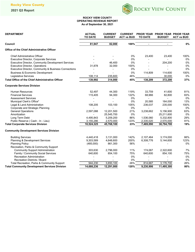

### **ROCKY VIEW COUNTY OPERATING REVENUE REPORT As of September 30, 2021**

| <b>DEPARTMENT</b>                                         | <b>ACTUAL</b><br><b>TO DATE</b> | <b>CURRENT</b><br><b>BUDGET</b> | <b>CURRENT</b><br><b>ACT vs BUD</b> | <b>TO DATE</b> | <b>PRIOR YEAR PRIOR YEAR PRIOR YEAR</b><br><b>BUDGET</b> | <b>ACT vs BUD</b> |
|-----------------------------------------------------------|---------------------------------|---------------------------------|-------------------------------------|----------------|----------------------------------------------------------|-------------------|
| Council                                                   | 81,947                          | 82,000                          | 100%                                | $\blacksquare$ |                                                          | $0\%$             |
| <b>Office of the Chief Administrative Officer</b>         |                                 |                                 |                                     |                |                                                          |                   |
| <b>Chief Administrative Officer</b>                       |                                 |                                 | $0\%$                               | 23,400         | 23,400                                                   | 100%              |
| Executive Director, Corporate Services                    |                                 |                                 | 0%                                  |                |                                                          | 0%                |
| <b>Executive Director, Community Development Services</b> |                                 | 46.400                          | $0\%$                               |                | 204.200                                                  | 0%                |
| Executive Director, Operations                            | 31,878                          | 32,000                          | 100%                                |                |                                                          | 0%                |
| Executive Director, Community & Business Connections      |                                 |                                 | 0%                                  |                |                                                          | 0%                |
| <b>Business &amp; Economic Development</b>                |                                 |                                 | $0\%$                               | 114,809        | 114,600                                                  | 100%              |
| Legislative Services                                      | 108,114                         | 235,600                         | 46%                                 |                | 30,000                                                   | 0%                |
| <b>Total Office of the Chief Administrative Officer</b>   | 139,992                         | 314,000                         | 45%                                 | 138,209        | 372,200                                                  | 37%               |
| <b>Corporate Services Division</b>                        |                                 |                                 |                                     |                |                                                          |                   |
| <b>Human Resources</b>                                    | 52,497                          | 44.300                          | 119%                                | 33,759         | 41,600                                                   | 81%               |
| <b>Financial Services</b>                                 | 115,405                         | 94,300                          | 122%                                | 68,966         | 82,800                                                   | 83%               |
| <b>Assessment Services</b>                                |                                 | $\overline{\phantom{m}}$        | $0\%$                               |                |                                                          | 0%                |
| Municipal Clerk's Office*                                 |                                 |                                 | $0\%$                               | 20,585         | 164,000                                                  | 13%               |
| Legal & Land Administration                               | 108,205                         | 103,100                         | 105%                                | 236,037        | 235,000                                                  | 100%              |
| Corporate and Strategic Planning                          |                                 |                                 | 0%                                  |                |                                                          | 0%                |
| <b>General Operations</b>                                 | 2,597,088                       | 12,201,500                      | 21%                                 | 3,238,662      | 5,156,900                                                | 63%               |
| Amortization                                              |                                 | 25,545,700                      | 0%                                  |                | 25,211,600                                               | 0%                |
| Long Term Debt                                            | 4,495,843                       | 5,209,200                       | 86%                                 | 1,536,060      | 5,332,800                                                | 29%               |
| Public Reserve (Cash - In - Lieu)                         | 3,155,286                       | 2,570,000                       | 123%                                | 2,335,020      | 2,570,000                                                | 91%               |
| <b>Total Corporate Services Division</b>                  | 10,524,325                      | 45,768,100                      | 23%                                 | 7,469,090      | 38,794,700                                               | 19%               |
| <b>Community Development Services Division</b>            |                                 |                                 |                                     |                |                                                          |                   |
| <b>Building Services</b>                                  | 4,440,418                       | 3,131,000                       | 142%                                | 2,107,464      | 3,174,000                                                | 66%               |
| Planning & Development Services                           | 9,303,589                       | 4,648,600                       | 200%                                | 6,308,776      | 5,144,600                                                | 123%              |
| <b>Planning Policy</b>                                    | (485,000)                       | 861,300                         | 56%                                 |                |                                                          | $0\%$             |
| Recreation, Parks & Community Support                     |                                 |                                 |                                     |                |                                                          |                   |
| <b>Community Support Administration</b>                   | 303,630                         | 2,796,000                       | 11%                                 | 174,067        | 2,322,600                                                | 7%                |
| Family / Community Social Services                        | 640.600                         | 854,100                         | 75%                                 | 640.600        | 854.100                                                  | 75%               |
| <b>Recreation Administration</b>                          |                                 |                                 | 0%                                  |                |                                                          | 0%                |
| Recreation Districts / Board                              |                                 |                                 | 0%                                  |                |                                                          | 0%                |
| Total Recreation, Parks & Community Support               | 944,230                         | 3,650,100                       | 26%                                 | 814,667        | 3,176,700                                                | 26%               |
| <b>Total Community Development Services Division</b>      | 14,688,236                      | 12,291,000                      | 120%                                | 9,230,906      | 11,495,300                                               | 80%               |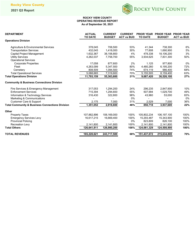

#### **ROCKY VIEW COUNTY OPERATING REVENUE REPORT As of September 30, 2021**

| <b>DEPARTMENT</b>                                          | <b>ACTUAL</b><br><b>TO DATE</b> | <b>CURRENT</b><br><b>BUDGET</b> | <b>CURRENT</b><br><b>ACT vs BUD</b> | <b>TO DATE</b> | PRIOR YEAR PRIOR YEAR PRIOR YEAR<br><b>BUDGET</b> | <b>ACT vs BUD</b> |
|------------------------------------------------------------|---------------------------------|---------------------------------|-------------------------------------|----------------|---------------------------------------------------|-------------------|
| <b>Operations Division</b>                                 |                                 |                                 |                                     |                |                                                   |                   |
| Agriculture & Environmental Services                       | 378,045                         | 708,500                         | 53%                                 | 41,344         | 738,300                                           | 6%                |
| <b>Transportation Services</b>                             | 432,045                         | 1,418,000                       | 30%                                 | 77,608         | 1,690,900                                         | 5%                |
| Capital Project Management                                 | 1,632,367                       | 38,158,800                      | 4%                                  | 478.338        | 18,106,200                                        | 3%                |
| <b>Utility Services</b>                                    | 4,262,037                       | 7,758,700                       | 55%                                 | 3,934,625      | 7,831,300                                         | 50%               |
| <b>Operational Services</b>                                |                                 |                                 |                                     |                |                                                   |                   |
| <b>Corporate Properties</b>                                | 17,058                          | 877,600                         | 2%                                  | 1,125          | 977,800                                           | 0%                |
| Fleet                                                      | 4,263,099                       | 5,347,500                       | 80%                                 | 4,480,260      | 6,195,200                                         | 72%               |
| Cemetery                                                   | 808,509                         | 1,094,500                       | 74%                                 | 674,119        | 986,400                                           | 68%               |
| <b>Total Operational Services</b>                          | 5,088,665                       | 7,319,600                       | 70%                                 | 5,155,505      | 8,159,400                                         | 63%               |
| <b>Total Operations Division</b>                           | 11,793,159                      | 55,363,600                      | 21%                                 | 9,687,420      | 36,526,100                                        | 27%               |
| <b>Community &amp; Business Connections Division</b>       |                                 |                                 |                                     |                |                                                   |                   |
| Fire Services & Emergency Management                       | 317,053                         | 1,294,200                       | 24%                                 | 296,235        | 2,847,900                                         | 10%               |
| <b>Enforcement Services</b>                                | 715,394                         | 1,294,600                       | 55%                                 | 507,994        | 1,029,700                                         | 49%               |
| Information & Technology Services                          | 316,430                         | 322,800                         | 98%                                 | 43,960         | 53,000                                            | 83%               |
| Marketing & Communications                                 |                                 |                                 | 0%                                  |                |                                                   | 0%                |
| <b>Customer Care &amp; Support</b>                         | 2,175                           | 7,000                           | 31%                                 | 2,529          | 7,000                                             | 36%               |
| <b>Total Community &amp; Business Connections Division</b> | 1,351,052                       | 2,918,600                       | 46%                                 | 850,718        | 3,937,600                                         | 22%               |
| Other                                                      |                                 |                                 |                                     |                |                                                   |                   |
| <b>Property Taxes</b>                                      | 107.882.896                     | 108,169,000                     | 100%                                | 105,802,234    | 106, 197, 100                                     | 100%              |
| <b>Emergency Services Levy</b>                             | 16,617,215                      | 16,669,400                      | 100%                                | 15,293,487     | 15,343,900                                        | 100%              |
| <b>Provincial Policing</b>                                 |                                 |                                 | 0%                                  | 823,809        | 826,100                                           | 100%              |
| <b>Recreation Levy</b>                                     | 2,141,800                       | 2,141,800                       | 100%                                | 2,141,800      | 2,141,800                                         | 100%              |
| <b>Total Others</b>                                        | 126,641,911                     | 126,980,200                     | 100%                                | 124,061,329    | 124,508,900                                       | 100%              |
| <b>TOTAL REVENUES</b>                                      | 165,220,621                     | 243,717,500                     | 68%                                 | 151,437,672    | 215,634,800                                       | 70%               |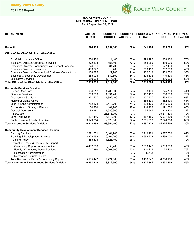

## **OPERATING EXPENSES REPORT As of September 30, 2021 ROCKY VIEW COUNTY**

| <b>DEPARTMENT</b>                                       | <b>ACTUAL</b><br><b>TO DATE</b> | <b>CURRENT</b><br><b>BUDGET</b> | <b>CURRENT</b><br><b>ACT vs BUD</b> | <b>TO DATE</b> | <b>PRIOR YEAR PRIOR YEAR PRIOR YEAR</b><br><b>BUDGET</b> | <b>ACT vs BUD</b> |
|---------------------------------------------------------|---------------------------------|---------------------------------|-------------------------------------|----------------|----------------------------------------------------------|-------------------|
|                                                         |                                 |                                 |                                     |                |                                                          |                   |
| Council                                                 | 674,493                         | 1,154,300                       | 58%                                 | 641,484        | 1,093,700                                                | 59%               |
| <b>Office of the Chief Administrative Officer</b>       |                                 |                                 |                                     |                |                                                          |                   |
| <b>Chief Administrative Officer</b>                     | 280,480                         | 411,100                         | 68%                                 | 293,996        | 388,100                                                  | 76%               |
| Executive Director, Corporate Services                  | 272,195                         | 351,400                         | 77%                                 | 258,069        | 439,000                                                  | 59%               |
| Executive Director, Community Development Services      | 224,281                         | 331,700                         | 68%                                 | 395,598        | 527,400                                                  | 75%               |
| <b>Executive Director, Operations</b>                   | 409,272                         | 816,700                         | 50%                                 | 390,450        | 807,600                                                  | 48%               |
| Executive Director, Community & Business Connections    | 188,375                         | 427,700                         | 44%                                 | 162,643        | 439,700                                                  | 37%               |
| <b>Business &amp; Economic Development</b>              | 285,928                         | 530,800                         | 54%                                 | 308,502        | 710,300                                                  | 43%               |
| Legislative Services                                    | 659,004                         | 1,145,200                       | 58%                                 | 206,646        | 336,000                                                  | 62%               |
| <b>Total Office of the Chief Administrative Officer</b> | 2,319,536                       | 4,014,600                       | 58%                                 | 2,015,904      | 3,648,100                                                | 55%               |
| <b>Corporate Services Division</b>                      |                                 |                                 |                                     |                |                                                          |                   |
| <b>Human Resources</b>                                  | 934,212                         | 1,788,800                       | 52%                                 | 808,430        | 1,825,700                                                | 44%               |
| <b>Financial Services</b>                               | 1,259,660                       | 1,631,200                       | 77%                                 | 1,162,102      | 1,658,600                                                | 70%               |
| <b>Assessment Services</b>                              | 871,107                         | 1,392,100                       | 63%                                 | 907.737        | 1,433,500                                                | 63%               |
| Municipal Clerk's Office*                               |                                 |                                 | 0%                                  | 866,899        | 1,352,100                                                | 64%               |
| Legal & Land Administration                             | 1,752,874                       | 2,479,700                       | 71%                                 | 1,394,100      | 2,115,600                                                | 66%               |
| Corporate and Strategic Planning                        | 30,284                          | 181,700                         | 17%                                 | 114,962        | 191,000                                                  | 60%               |
| <b>General Operations</b>                               | 83,981                          | 11,686,900                      | 1%                                  | 54,561         | 1,318,200                                                | 4%                |
| Amortization                                            |                                 | 25,545,700                      | 0%                                  |                | 25,211,600                                               | 0%                |
| Long Term Debt                                          | 1,137,416                       | 6,678,300                       | 17%                                 | 1,187,489      | 6,697,800                                                | 18%               |
| Public Reserve (Cash - In - Lieu)                       | 3,143,764                       | 2,570,000                       | 122%                                | 2,201,699      | 2,570,000                                                | 86%               |
| <b>Total Corporate Services Division</b>                | 9,213,299                       | 53,954,400                      | 17%                                 | 8,697,979      | 44,374,100                                               | 20%               |
| <b>Community Development Services Division</b>          |                                 |                                 |                                     |                |                                                          |                   |
| <b>Building Services</b>                                | 2,271,631                       | 3,161,900                       | 72%                                 | 2,219,981      | 3,227,700                                                | 69%               |
| Planning & Development Services                         | 2,328,599                       | 6,401,200                       | 36%                                 | 2,692,732      | 8,496,000                                                | 32%               |
| <b>Planning Policy</b>                                  | 465,533                         | 1,825,400                       | 26%                                 |                |                                                          | 0%                |
| Recreation, Parks & Community Support                   |                                 |                                 |                                     |                |                                                          |                   |
| <b>Community Support Administration</b>                 | 4,437,568                       | 6,356,400                       | 70%                                 | 2,603,442      | 5,833,700                                                | 45%               |
| Family / Community Social Services                      | 747,880                         | 1,067,600                       | 70%                                 | 810,125        | 1,074,400                                                | 75%               |
| <b>Recreation Administration</b>                        |                                 |                                 | 0%                                  | (4,919)        |                                                          | 0%                |
| <b>Recreation Districts / Board</b>                     |                                 |                                 | 0%                                  |                |                                                          | 0%                |
| Total Recreation, Parks & Community Support             | 5,185,447                       | 7,424,000                       | 70%                                 | 3,408,648      | 6,908,100                                                | 49%               |
| <b>Total Community Development Services Division</b>    | 10,251,210                      | 18,812,500                      | 54%                                 | 8,321,361      | 18,631,800                                               | 45%               |
|                                                         |                                 |                                 |                                     |                |                                                          |                   |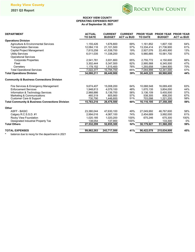

## **ROCKY VIEW COUNTY OPERATING EXPENSES REPORT As of September 30, 2021**

| <b>DEPARTMENT</b>                                          | <b>ACTUAL</b><br><b>TO DATE</b> | <b>CURRENT</b><br><b>BUDGET</b> | <b>CURRENT</b><br><b>ACT vs BUD</b> | <b>TO DATE</b> | <b>PRIOR YEAR PRIOR YEAR PRIOR YEAR</b><br><b>BUDGET</b> | <b>ACT vs BUD</b> |
|------------------------------------------------------------|---------------------------------|---------------------------------|-------------------------------------|----------------|----------------------------------------------------------|-------------------|
| <b>Operations Division</b>                                 |                                 |                                 |                                     |                |                                                          |                   |
| Agriculture & Environmental Services                       | 1,155,426                       | 1,676,800                       | 69%                                 | 1,161,852      | 1,807,100                                                | 64%               |
| <b>Transportation Services</b>                             | 12,084,116                      | 21,101,500                      | 57%                                 | 13,334,414     | 21,736,900                                               | 61%               |
| Capital Project Management                                 | 7,815,258                       | 41,538,700                      | 19%                                 | 2,927,076      | 22,493,900                                               | 13%               |
| <b>Utility Services</b>                                    | 6,011,035                       | 11.338.200                      | 53%                                 | 5,980,885      | 10,581,700                                               | 57%               |
| <b>Operational Services</b>                                |                                 |                                 |                                     |                |                                                          |                   |
| <b>Corporate Properties</b>                                | 2,541,781                       | 3,931,800                       | 65%                                 | 2,755,772      | 4,150,600                                                | 66%               |
| Fleet                                                      | 3,302,444                       | 5,347,500                       | 62%                                 | 2,995,568      | 6,345,500                                                | 47%               |
| Cemetery                                                   | 1,178,152                       | 1,515,400                       | 78%                                 | 1,293,658      | 1,844,900                                                | 70%               |
| <b>Total Operational Services</b>                          | 7,022,377                       | 10,794,700                      | 65%                                 | 7,044,998      | 12,341,000                                               | 57%               |
| <b>Total Operations Division</b>                           | 34,088,211                      | 86,449,900                      | 39%                                 | 30,449,225     | 68,960,600                                               | 44%               |
| <b>Community &amp; Business Connections Division</b>       |                                 |                                 |                                     |                |                                                          |                   |
| Fire Services & Emergency Management                       | 9,674,407                       | 15,008,200                      | 64%                                 | 10,068,548     | 16,069,400                                               | 63%               |
| <b>Enforcement Services</b>                                | 1,948,813                       | 4,079,100                       | 48%                                 | 1,670,135      | 3,804,000                                                | 44%               |
| Information & Technology Services                          | 2.968.886                       | 5,136,700                       | 58%                                 | 3,136,109      | 5.455.500                                                | 57%               |
| Marketing & Communications                                 | 460,319                         | 805,900                         | 57%                                 | 538,305        | 808,200                                                  | 67%               |
| <b>Customer Care &amp; Support</b>                         | 730,790                         | 1,446,600                       | 51%                                 | 703,098        | 1,221,200                                                | 58%               |
| <b>Total Community &amp; Business Connections Division</b> | 15,783,216                      | 26,476,500                      | 60%                                 | 16,116,195     | 27,358,300                                               | 59%               |
| Other                                                      |                                 |                                 |                                     |                |                                                          |                   |
| <b>ASFF - BASIC</b>                                        | 23,380,044                      | 47,630,100                      | 49%                                 | 27,049,992     | 46,767,600                                               | 58%               |
| Calgary R.C.S.S.D. #1                                      | 2,994,016                       | 4,067,100                       | 74%                                 | 2,454,689      | 3,992,000                                                | 61%               |
| Rocky View Foundation                                      | 1,020,185                       | 1,020,200                       | 100%                                | 675,246        | 675,300                                                  | 100%              |
| Designated Industrial Property Tax                         | 138,054                         | 137,900                         | 100%                                |                | 133,300                                                  | 0%                |
| <b>Total Others</b>                                        | 27,532,299                      | 52,855,300                      | 52%                                 | 30,179,927     | 51,568,200                                               | 59%               |
| <b>TOTAL EXPENSES</b>                                      | 99,862,263                      | 243,717,500                     | 41%                                 | 96,422,078     | 215,634,800                                              | 45%               |

**\*** balance due to reorg for the department in 2021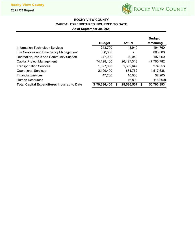

# **ROCKY VIEW COUNTY CAPITAL EXPENDITURES INCURRED TO DATE As of September 30, 2021**

|                                                    |               |            |   | <b>Budget</b> |
|----------------------------------------------------|---------------|------------|---|---------------|
|                                                    | <b>Budget</b> | Actual     |   | Remaining     |
| Information Technology Services                    | 243,700       | 48,940     |   | 194,760       |
| Fire Services and Emergency Management             | 888,000       |            |   | 888,000       |
| Recreation, Parks and Community Support            | 247,000       | 49.040     |   | 197,960       |
| <b>Capital Project Management</b>                  | 74,128,100    | 26,427,318 |   | 47,700,782    |
| <b>Transportation Services</b>                     | 1,627,000     | 1,352,647  |   | 274,353       |
| <b>Operational Services</b>                        | 2,199,400     | 681,762    |   | 1,517,638     |
| <b>Financial Services</b>                          | 47,200        | 10,000     |   | 37,200        |
| <b>Human Resources</b>                             |               | 16,800     |   | (16, 800)     |
| <b>Total Capital Expenditures Incurred to Date</b> | \$79,380,400  | 28,586,507 | S | 50,793,893    |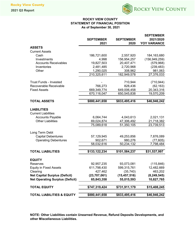

# **ROCKY VIEW COUNTY STATEMENT OF FINANCIAL POSITION As of September 30, 2021**

|                                                         | <b>SEPTEMBER</b><br>2021 | <b>SEPTEMBER</b><br>2020 | <b>SEPTEMBER</b><br>2021/2020<br><b>YOY VARIANCE</b> |
|---------------------------------------------------------|--------------------------|--------------------------|------------------------------------------------------|
| <b>ASSETS</b>                                           |                          |                          |                                                      |
| <b>Current Assets</b>                                   |                          |                          |                                                      |
| Cash                                                    | 186,721,600              | 2,557,920                | 184, 163, 680                                        |
| Investments                                             | 4,998                    | 156,954,257              | (156, 949, 259)                                      |
| <b>Accounts Receivables</b>                             | 19,827,503               | 20,407,471               | (579, 968)                                           |
| Inventories                                             | 2,481,485                | 2,720,968                | (239, 483)                                           |
| Other                                                   | 1,290,025                | 308,962                  | 981,063                                              |
|                                                         | 210,325,611              | 182,949,578              | 27,376,033                                           |
|                                                         |                          |                          |                                                      |
| <b>Trust Funds - Invested</b><br>Recoverable Receivable | 766,273                  | 710,944                  | (710, 944)                                           |
| <b>Fixed Assets</b>                                     | 669,349,774              | 828,436<br>649,006,458   | (62, 163)<br>20,343,316                              |
|                                                         | 670,116,047              | 650,545,838              | 19,570,209                                           |
|                                                         |                          |                          |                                                      |
| <b>TOTAL ASSETS</b>                                     | \$880,441,658            | \$833,495,416            | \$46,946,242                                         |
|                                                         |                          |                          |                                                      |
| <b>LIABILITIES</b>                                      |                          |                          |                                                      |
| <b>Current Liabilities</b>                              |                          |                          |                                                      |
| <b>Accounts Payable</b>                                 | 6,064,744                | 4,043,613                | 2,021,131                                            |
| <b>Other Liabilities</b>                                | 69,024,874               | 47,306,492               | 21,718,382                                           |
|                                                         | 75,089,618               | 51,350,105               | 23,739,513                                           |
| Long Term Debt                                          |                          |                          |                                                      |
| <b>Capital Debentures</b>                               | 57,129,945               | 49,253,856               | 7,876,089                                            |
| <b>Operating Debentures</b>                             | 902,671                  | 980,276                  | (77, 605)                                            |
|                                                         | 58,032,616               | 50,234,132               | 7,798,484                                            |
|                                                         |                          |                          |                                                      |
| <b>TOTAL LIABILITIES</b>                                | \$133,122,234            | \$101,584,237            | \$31,537,997                                         |
| <b>EQUITY</b>                                           |                          |                          |                                                      |
| Reserves                                                | 92,957,235               | 93,073,081               | (115, 846)                                           |
| <b>Equity in Fixed Assets</b>                           | 611,798,430              | 599,315,761              | 12,482,669                                           |
| Clearing                                                | 427,462                  | (35, 740)                | 463,202                                              |
| <b>Net Capital Surplus (Deficit)</b>                    | (23,707,061)             | (15, 457, 516)           | (8, 249, 545)                                        |
| <b>Net Operating Surplus (Deficit)</b>                  | 65,843,358               | 55,015,593               | 10,827,765                                           |
|                                                         |                          |                          |                                                      |
| <b>TOTAL EQUITY</b>                                     | \$747,319,424            | \$731,911,179            | \$15,408,245                                         |
| <b>TOTAL LIABILITIES &amp; EQUITY</b>                   | \$880,441,658            | \$833,495,416            | \$46,946,242                                         |

**NOTE: Other Liabilities contain Unearned Revenue, Refund Deposits Developments, and other Miscellaneous Liabilities.**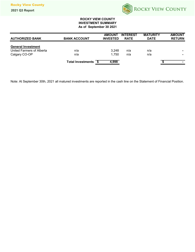

## **ROCKY VIEW COUNTY INVESTMENT SUMMARY As of September 30 2021**

| <b>AUTHORIZED BANK</b>    | <b>BANK ACCOUNT</b>      | <b>AMOUNT</b><br><b>INVESTED</b> | <b>INTEREST</b><br><b>RATE</b> | <b>MATURITY</b><br><b>DATE</b> | <b>AMOUNT</b><br><b>RETURN</b> |
|---------------------------|--------------------------|----------------------------------|--------------------------------|--------------------------------|--------------------------------|
|                           |                          |                                  |                                |                                |                                |
| <b>General Investment</b> |                          |                                  |                                |                                |                                |
| United Farmers of Alberta | n/a                      | 3.248                            | n/a                            | n/a                            |                                |
| Calgary CO-OP             | n/a                      | 1.750                            | n/a                            | n/a                            |                                |
|                           | <b>Total Investments</b> | 4,998                            |                                |                                |                                |

Note: At September 30th, 2021 all matured investments are reported in the cash line on the Statement of Financial Position.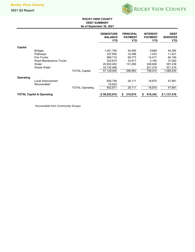

## **ROCKY VIEW COUNTY DEBT SUMMARY As of September 30, 2021**

|           |                                      |                        | <b>DEBENTURE</b><br><b>BALANCE</b><br><b>YTD</b> | <b>PRINCIPAL</b><br><b>PAYMENT</b><br><b>YTD</b> | <b>INTEREST</b><br><b>PAYMENT</b><br><b>YTD</b> | <b>DEBT</b><br><b>SERVICES</b><br><b>YTD</b> |
|-----------|--------------------------------------|------------------------|--------------------------------------------------|--------------------------------------------------|-------------------------------------------------|----------------------------------------------|
| Capital   |                                      |                        |                                                  |                                                  |                                                 |                                              |
|           | <b>Bridges</b>                       |                        | 1,351,790                                        | 44,595                                           | 9,689                                           | 54,284                                       |
|           | Pathways                             |                        | 237,850                                          | 10,388                                           | 1,033                                           | 11,421                                       |
|           | <b>Fire Trucks</b>                   |                        | 969,710                                          | 69,773                                           | 14,417                                          | 84,190                                       |
|           | Road Maintenance Trucks              |                        | 325,675                                          | 33,917                                           | 3,165                                           | 37,082                                       |
|           | Water                                |                        | 20,502,452                                       | 131,290                                          | 249,949                                         | 381,239                                      |
|           | Waste Water                          |                        | 33,742,468                                       |                                                  | 521,219                                         | 521,219                                      |
|           |                                      | <b>TOTAL Capital</b>   | 57.129.945                                       | 289.963                                          | 799.472                                         | 1,089,435                                    |
| Operating |                                      |                        |                                                  |                                                  |                                                 |                                              |
|           | Local Improvement                    |                        | 826,748                                          | 29,111                                           | 18,870                                          | 47,981                                       |
|           | Recoverable*                         |                        | 75,923                                           |                                                  |                                                 |                                              |
|           |                                      | <b>TOTAL Operating</b> | 902,671                                          | 29,111                                           | 18,870                                          | 47,981                                       |
|           | <b>TOTAL Capital &amp; Operating</b> |                        | \$58,032,616                                     | 319,074<br>S                                     | 818,342<br>\$                                   | \$1,137,416                                  |

*\*recoverable from Community Groups*